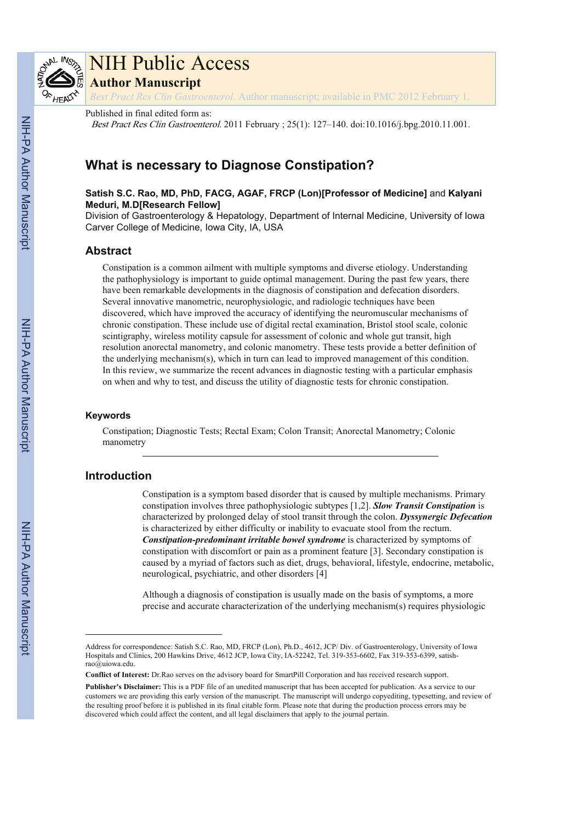

# NIH Public Access

**Author Manuscript**

*Best Pract Res Clin Gastroenterol*. Author manuscript; available in PMC 2012 February 1.

#### Published in final edited form as:

Best Pract Res Clin Gastroenterol. 2011 February ; 25(1): 127–140. doi:10.1016/j.bpg.2010.11.001.

# **What is necessary to Diagnose Constipation?**

**Satish S.C. Rao, MD, PhD, FACG, AGAF, FRCP (Lon)[Professor of Medicine]** and **Kalyani Meduri, M.D[Research Fellow]**

Division of Gastroenterology & Hepatology, Department of Internal Medicine, University of Iowa Carver College of Medicine, Iowa City, IA, USA

# **Abstract**

Constipation is a common ailment with multiple symptoms and diverse etiology. Understanding the pathophysiology is important to guide optimal management. During the past few years, there have been remarkable developments in the diagnosis of constipation and defecation disorders. Several innovative manometric, neurophysiologic, and radiologic techniques have been discovered, which have improved the accuracy of identifying the neuromuscular mechanisms of chronic constipation. These include use of digital rectal examination, Bristol stool scale, colonic scintigraphy, wireless motility capsule for assessment of colonic and whole gut transit, high resolution anorectal manometry, and colonic manometry. These tests provide a better definition of the underlying mechanism(s), which in turn can lead to improved management of this condition. In this review, we summarize the recent advances in diagnostic testing with a particular emphasis on when and why to test, and discuss the utility of diagnostic tests for chronic constipation.

#### **Keywords**

Constipation; Diagnostic Tests; Rectal Exam; Colon Transit; Anorectal Manometry; Colonic manometry

# **Introduction**

Constipation is a symptom based disorder that is caused by multiple mechanisms. Primary constipation involves three pathophysiologic subtypes [1,2]. *Slow Transit Constipation* is characterized by prolonged delay of stool transit through the colon. *Dyssynergic Defecation* is characterized by either difficulty or inability to evacuate stool from the rectum. *Constipation-predominant irritable bowel syndrome* is characterized by symptoms of constipation with discomfort or pain as a prominent feature [3]. Secondary constipation is caused by a myriad of factors such as diet, drugs, behavioral, lifestyle, endocrine, metabolic, neurological, psychiatric, and other disorders [4]

Although a diagnosis of constipation is usually made on the basis of symptoms, a more precise and accurate characterization of the underlying mechanism(s) requires physiologic

Address for correspondence: Satish S.C. Rao, MD, FRCP (Lon), Ph.D., 4612, JCP/ Div. of Gastroenterology, University of Iowa Hospitals and Clinics, 200 Hawkins Drive, 4612 JCP, Iowa City, IA-52242, Tel. 319-353-6602, Fax 319-353-6399, satishrao@uiowa.edu.

**Conflict of Interest:** Dr.Rao serves on the advisory board for SmartPill Corporation and has received research support.

**Publisher's Disclaimer:** This is a PDF file of an unedited manuscript that has been accepted for publication. As a service to our customers we are providing this early version of the manuscript. The manuscript will undergo copyediting, typesetting, and review of the resulting proof before it is published in its final citable form. Please note that during the production process errors may be discovered which could affect the content, and all legal disclaimers that apply to the journal pertain.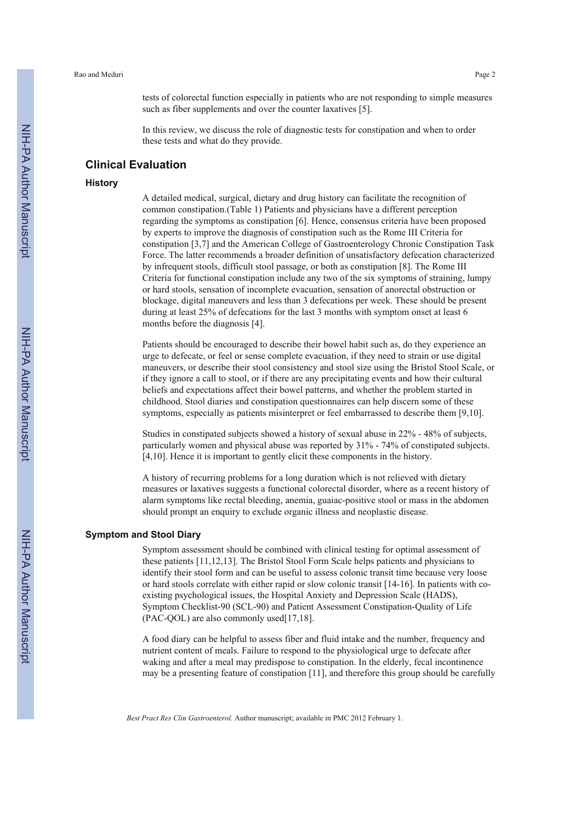tests of colorectal function especially in patients who are not responding to simple measures such as fiber supplements and over the counter laxatives [5].

In this review, we discuss the role of diagnostic tests for constipation and when to order these tests and what do they provide.

# **Clinical Evaluation**

#### **History**

A detailed medical, surgical, dietary and drug history can facilitate the recognition of common constipation.(Table 1) Patients and physicians have a different perception regarding the symptoms as constipation [6]. Hence, consensus criteria have been proposed by experts to improve the diagnosis of constipation such as the Rome III Criteria for constipation [3,7] and the American College of Gastroenterology Chronic Constipation Task Force. The latter recommends a broader definition of unsatisfactory defecation characterized by infrequent stools, difficult stool passage, or both as constipation [8]. The Rome III Criteria for functional constipation include any two of the six symptoms of straining, lumpy or hard stools, sensation of incomplete evacuation, sensation of anorectal obstruction or blockage, digital maneuvers and less than 3 defecations per week. These should be present during at least 25% of defecations for the last 3 months with symptom onset at least 6 months before the diagnosis [4].

Patients should be encouraged to describe their bowel habit such as, do they experience an urge to defecate, or feel or sense complete evacuation, if they need to strain or use digital maneuvers, or describe their stool consistency and stool size using the Bristol Stool Scale, or if they ignore a call to stool, or if there are any precipitating events and how their cultural beliefs and expectations affect their bowel patterns, and whether the problem started in childhood. Stool diaries and constipation questionnaires can help discern some of these symptoms, especially as patients misinterpret or feel embarrassed to describe them [9,10].

Studies in constipated subjects showed a history of sexual abuse in 22% - 48% of subjects, particularly women and physical abuse was reported by 31% - 74% of constipated subjects. [4,10]. Hence it is important to gently elicit these components in the history.

A history of recurring problems for a long duration which is not relieved with dietary measures or laxatives suggests a functional colorectal disorder, where as a recent history of alarm symptoms like rectal bleeding, anemia, guaiac-positive stool or mass in the abdomen should prompt an enquiry to exclude organic illness and neoplastic disease.

## **Symptom and Stool Diary**

Symptom assessment should be combined with clinical testing for optimal assessment of these patients [11,12,13]. The Bristol Stool Form Scale helps patients and physicians to identify their stool form and can be useful to assess colonic transit time because very loose or hard stools correlate with either rapid or slow colonic transit [14-16]. In patients with coexisting psychological issues, the Hospital Anxiety and Depression Scale (HADS), Symptom Checklist-90 (SCL-90) and Patient Assessment Constipation-Quality of Life (PAC-QOL) are also commonly used[17,18].

A food diary can be helpful to assess fiber and fluid intake and the number, frequency and nutrient content of meals. Failure to respond to the physiological urge to defecate after waking and after a meal may predispose to constipation. In the elderly, fecal incontinence may be a presenting feature of constipation [11], and therefore this group should be carefully

NIH-PA Author Manuscript

NIH-PA Author Manuscript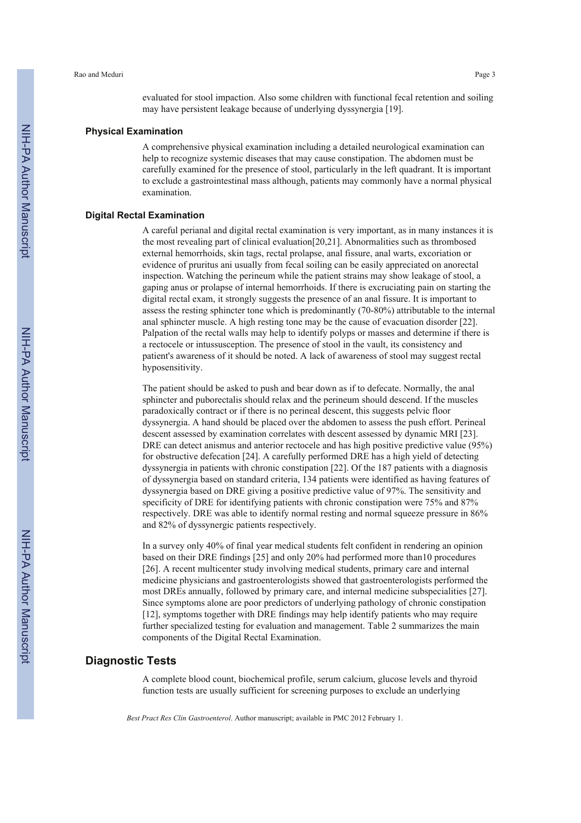evaluated for stool impaction. Also some children with functional fecal retention and soiling may have persistent leakage because of underlying dyssynergia [19].

#### **Physical Examination**

A comprehensive physical examination including a detailed neurological examination can help to recognize systemic diseases that may cause constipation. The abdomen must be carefully examined for the presence of stool, particularly in the left quadrant. It is important to exclude a gastrointestinal mass although, patients may commonly have a normal physical examination.

#### **Digital Rectal Examination**

A careful perianal and digital rectal examination is very important, as in many instances it is the most revealing part of clinical evaluation[20,21]. Abnormalities such as thrombosed external hemorrhoids, skin tags, rectal prolapse, anal fissure, anal warts, excoriation or evidence of pruritus ani usually from fecal soiling can be easily appreciated on anorectal inspection. Watching the perineum while the patient strains may show leakage of stool, a gaping anus or prolapse of internal hemorrhoids. If there is excruciating pain on starting the digital rectal exam, it strongly suggests the presence of an anal fissure. It is important to assess the resting sphincter tone which is predominantly (70-80%) attributable to the internal anal sphincter muscle. A high resting tone may be the cause of evacuation disorder [22]. Palpation of the rectal walls may help to identify polyps or masses and determine if there is a rectocele or intussusception. The presence of stool in the vault, its consistency and patient's awareness of it should be noted. A lack of awareness of stool may suggest rectal hyposensitivity.

The patient should be asked to push and bear down as if to defecate. Normally, the anal sphincter and puborectalis should relax and the perineum should descend. If the muscles paradoxically contract or if there is no perineal descent, this suggests pelvic floor dyssynergia. A hand should be placed over the abdomen to assess the push effort. Perineal descent assessed by examination correlates with descent assessed by dynamic MRI [23]. DRE can detect anismus and anterior rectocele and has high positive predictive value (95%) for obstructive defecation [24]. A carefully performed DRE has a high yield of detecting dyssynergia in patients with chronic constipation [22]. Of the 187 patients with a diagnosis of dyssynergia based on standard criteria, 134 patients were identified as having features of dyssynergia based on DRE giving a positive predictive value of 97%. The sensitivity and specificity of DRE for identifying patients with chronic constipation were 75% and 87% respectively. DRE was able to identify normal resting and normal squeeze pressure in 86% and 82% of dyssynergic patients respectively.

In a survey only 40% of final year medical students felt confident in rendering an opinion based on their DRE findings [25] and only 20% had performed more than10 procedures [26]. A recent multicenter study involving medical students, primary care and internal medicine physicians and gastroenterologists showed that gastroenterologists performed the most DREs annually, followed by primary care, and internal medicine subspecialities [27]. Since symptoms alone are poor predictors of underlying pathology of chronic constipation [12], symptoms together with DRE findings may help identify patients who may require further specialized testing for evaluation and management. Table 2 summarizes the main components of the Digital Rectal Examination.

# **Diagnostic Tests**

A complete blood count, biochemical profile, serum calcium, glucose levels and thyroid function tests are usually sufficient for screening purposes to exclude an underlying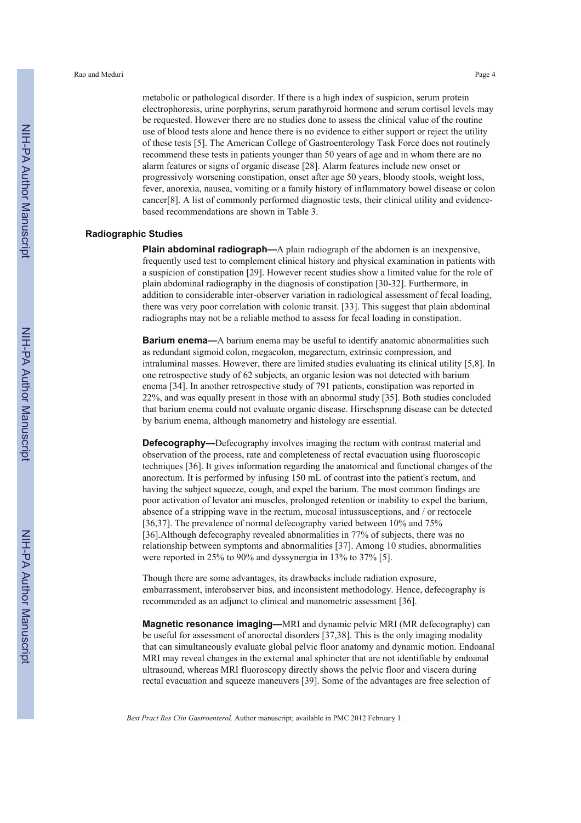metabolic or pathological disorder. If there is a high index of suspicion, serum protein electrophoresis, urine porphyrins, serum parathyroid hormone and serum cortisol levels may be requested. However there are no studies done to assess the clinical value of the routine use of blood tests alone and hence there is no evidence to either support or reject the utility of these tests [5]. The American College of Gastroenterology Task Force does not routinely recommend these tests in patients younger than 50 years of age and in whom there are no alarm features or signs of organic disease [28]. Alarm features include new onset or progressively worsening constipation, onset after age 50 years, bloody stools, weight loss, fever, anorexia, nausea, vomiting or a family history of inflammatory bowel disease or colon cancer[8]. A list of commonly performed diagnostic tests, their clinical utility and evidencebased recommendations are shown in Table 3.

#### **Radiographic Studies**

**Plain abdominal radiograph—**A plain radiograph of the abdomen is an inexpensive, frequently used test to complement clinical history and physical examination in patients with a suspicion of constipation [29]. However recent studies show a limited value for the role of plain abdominal radiography in the diagnosis of constipation [30-32]. Furthermore, in addition to considerable inter-observer variation in radiological assessment of fecal loading, there was very poor correlation with colonic transit. [33]. This suggest that plain abdominal radiographs may not be a reliable method to assess for fecal loading in constipation.

**Barium enema—**A barium enema may be useful to identify anatomic abnormalities such as redundant sigmoid colon, megacolon, megarectum, extrinsic compression, and intraluminal masses. However, there are limited studies evaluating its clinical utility [5,8]. In one retrospective study of 62 subjects, an organic lesion was not detected with barium enema [34]. In another retrospective study of 791 patients, constipation was reported in 22%, and was equally present in those with an abnormal study [35]. Both studies concluded that barium enema could not evaluate organic disease. Hirschsprung disease can be detected by barium enema, although manometry and histology are essential.

**Defecography—**Defecography involves imaging the rectum with contrast material and observation of the process, rate and completeness of rectal evacuation using fluoroscopic techniques [36]. It gives information regarding the anatomical and functional changes of the anorectum. It is performed by infusing 150 mL of contrast into the patient's rectum, and having the subject squeeze, cough, and expel the barium. The most common findings are poor activation of levator ani muscles, prolonged retention or inability to expel the barium, absence of a stripping wave in the rectum, mucosal intussusceptions, and / or rectocele [36,37]. The prevalence of normal defecography varied between 10% and 75% [36].Although defecography revealed abnormalities in 77% of subjects, there was no relationship between symptoms and abnormalities [37]. Among 10 studies, abnormalities were reported in 25% to 90% and dyssynergia in 13% to 37% [5].

Though there are some advantages, its drawbacks include radiation exposure, embarrassment, interobserver bias, and inconsistent methodology. Hence, defecography is recommended as an adjunct to clinical and manometric assessment [36].

**Magnetic resonance imaging—**MRI and dynamic pelvic MRI (MR defecography) can be useful for assessment of anorectal disorders [37,38]. This is the only imaging modality that can simultaneously evaluate global pelvic floor anatomy and dynamic motion. Endoanal MRI may reveal changes in the external anal sphincter that are not identifiable by endoanal ultrasound, whereas MRI fluoroscopy directly shows the pelvic floor and viscera during rectal evacuation and squeeze maneuvers [39]. Some of the advantages are free selection of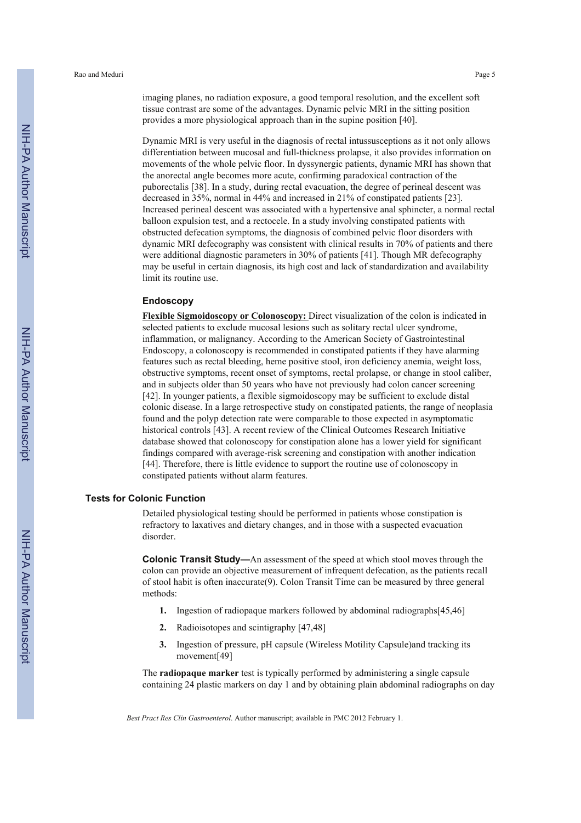imaging planes, no radiation exposure, a good temporal resolution, and the excellent soft tissue contrast are some of the advantages. Dynamic pelvic MRI in the sitting position provides a more physiological approach than in the supine position [40].

Dynamic MRI is very useful in the diagnosis of rectal intussusceptions as it not only allows differentiation between mucosal and full-thickness prolapse, it also provides information on movements of the whole pelvic floor. In dyssynergic patients, dynamic MRI has shown that the anorectal angle becomes more acute, confirming paradoxical contraction of the puborectalis [38]. In a study, during rectal evacuation, the degree of perineal descent was decreased in 35%, normal in 44% and increased in 21% of constipated patients [23]. Increased perineal descent was associated with a hypertensive anal sphincter, a normal rectal balloon expulsion test, and a rectocele. In a study involving constipated patients with obstructed defecation symptoms, the diagnosis of combined pelvic floor disorders with dynamic MRI defecography was consistent with clinical results in 70% of patients and there were additional diagnostic parameters in 30% of patients [41]. Though MR defecography may be useful in certain diagnosis, its high cost and lack of standardization and availability limit its routine use.

#### **Endoscopy**

**Flexible Sigmoidoscopy or Colonoscopy:** Direct visualization of the colon is indicated in selected patients to exclude mucosal lesions such as solitary rectal ulcer syndrome, inflammation, or malignancy. According to the American Society of Gastrointestinal Endoscopy, a colonoscopy is recommended in constipated patients if they have alarming features such as rectal bleeding, heme positive stool, iron deficiency anemia, weight loss, obstructive symptoms, recent onset of symptoms, rectal prolapse, or change in stool caliber, and in subjects older than 50 years who have not previously had colon cancer screening [42]. In younger patients, a flexible sigmoidoscopy may be sufficient to exclude distal colonic disease. In a large retrospective study on constipated patients, the range of neoplasia found and the polyp detection rate were comparable to those expected in asymptomatic historical controls [43]. A recent review of the Clinical Outcomes Research Initiative database showed that colonoscopy for constipation alone has a lower yield for significant findings compared with average-risk screening and constipation with another indication [44]. Therefore, there is little evidence to support the routine use of colonoscopy in constipated patients without alarm features.

# **Tests for Colonic Function**

Detailed physiological testing should be performed in patients whose constipation is refractory to laxatives and dietary changes, and in those with a suspected evacuation disorder.

**Colonic Transit Study—**An assessment of the speed at which stool moves through the colon can provide an objective measurement of infrequent defecation, as the patients recall of stool habit is often inaccurate(9). Colon Transit Time can be measured by three general methods:

- **1.** Ingestion of radiopaque markers followed by abdominal radiographs[45,46]
- **2.** Radioisotopes and scintigraphy [47,48]
- **3.** Ingestion of pressure, pH capsule (Wireless Motility Capsule)and tracking its movement[49]

The **radiopaque marker** test is typically performed by administering a single capsule containing 24 plastic markers on day 1 and by obtaining plain abdominal radiographs on day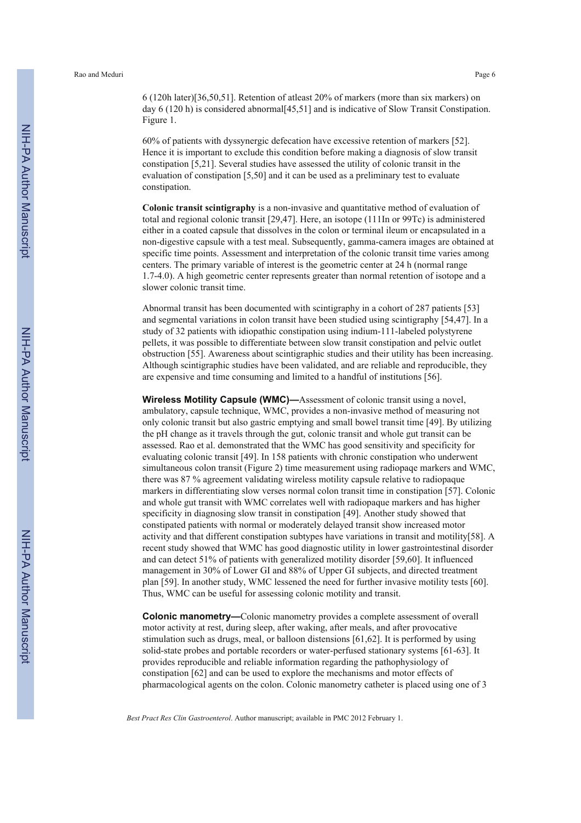6 (120h later)[36,50,51]. Retention of atleast 20% of markers (more than six markers) on day 6 (120 h) is considered abnormal[45,51] and is indicative of Slow Transit Constipation. Figure 1.

60% of patients with dyssynergic defecation have excessive retention of markers [52]. Hence it is important to exclude this condition before making a diagnosis of slow transit constipation [5,21]. Several studies have assessed the utility of colonic transit in the evaluation of constipation [5,50] and it can be used as a preliminary test to evaluate constipation.

**Colonic transit scintigraphy** is a non-invasive and quantitative method of evaluation of total and regional colonic transit [29,47]. Here, an isotope (111In or 99Tc) is administered either in a coated capsule that dissolves in the colon or terminal ileum or encapsulated in a non-digestive capsule with a test meal. Subsequently, gamma-camera images are obtained at specific time points. Assessment and interpretation of the colonic transit time varies among centers. The primary variable of interest is the geometric center at 24 h (normal range 1.7-4.0). A high geometric center represents greater than normal retention of isotope and a slower colonic transit time.

Abnormal transit has been documented with scintigraphy in a cohort of 287 patients [53] and segmental variations in colon transit have been studied using scintigraphy [54,47]. In a study of 32 patients with idiopathic constipation using indium-111-labeled polystyrene pellets, it was possible to differentiate between slow transit constipation and pelvic outlet obstruction [55]. Awareness about scintigraphic studies and their utility has been increasing. Although scintigraphic studies have been validated, and are reliable and reproducible, they are expensive and time consuming and limited to a handful of institutions [56].

**Wireless Motility Capsule (WMC)—**Assessment of colonic transit using a novel, ambulatory, capsule technique, WMC, provides a non-invasive method of measuring not only colonic transit but also gastric emptying and small bowel transit time [49]. By utilizing the pH change as it travels through the gut, colonic transit and whole gut transit can be assessed. Rao et al. demonstrated that the WMC has good sensitivity and specificity for evaluating colonic transit [49]. In 158 patients with chronic constipation who underwent simultaneous colon transit (Figure 2) time measurement using radiopaqe markers and WMC, there was 87 % agreement validating wireless motility capsule relative to radiopaque markers in differentiating slow verses normal colon transit time in constipation [57]. Colonic and whole gut transit with WMC correlates well with radiopaque markers and has higher specificity in diagnosing slow transit in constipation [49]. Another study showed that constipated patients with normal or moderately delayed transit show increased motor activity and that different constipation subtypes have variations in transit and motility[58]. A recent study showed that WMC has good diagnostic utility in lower gastrointestinal disorder and can detect 51% of patients with generalized motility disorder [59,60]. It influenced management in 30% of Lower GI and 88% of Upper GI subjects, and directed treatment plan [59]. In another study, WMC lessened the need for further invasive motility tests [60]. Thus, WMC can be useful for assessing colonic motility and transit.

**Colonic manometry—**Colonic manometry provides a complete assessment of overall motor activity at rest, during sleep, after waking, after meals, and after provocative stimulation such as drugs, meal, or balloon distensions [61,62]. It is performed by using solid-state probes and portable recorders or water-perfused stationary systems [61-63]. It provides reproducible and reliable information regarding the pathophysiology of constipation [62] and can be used to explore the mechanisms and motor effects of pharmacological agents on the colon. Colonic manometry catheter is placed using one of 3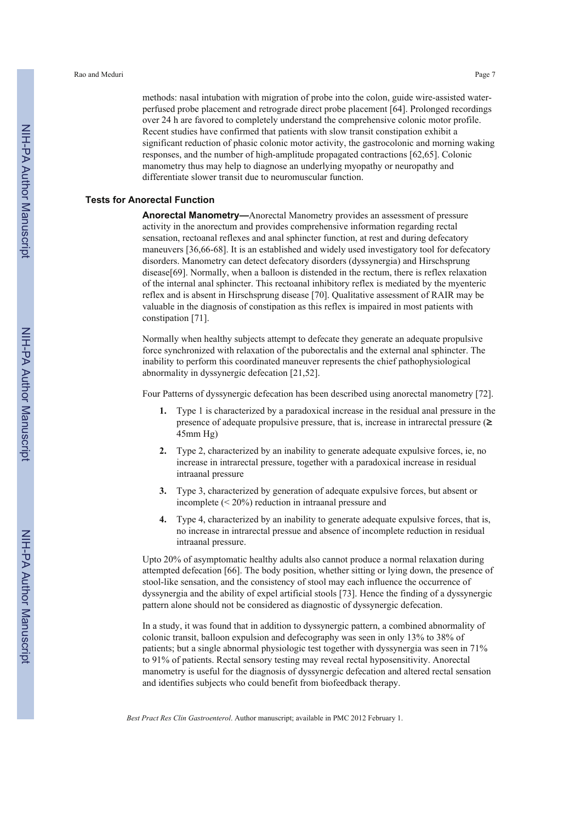methods: nasal intubation with migration of probe into the colon, guide wire-assisted waterperfused probe placement and retrograde direct probe placement [64]. Prolonged recordings over 24 h are favored to completely understand the comprehensive colonic motor profile. Recent studies have confirmed that patients with slow transit constipation exhibit a significant reduction of phasic colonic motor activity, the gastrocolonic and morning waking responses, and the number of high-amplitude propagated contractions [62,65]. Colonic manometry thus may help to diagnose an underlying myopathy or neuropathy and differentiate slower transit due to neuromuscular function.

#### **Tests for Anorectal Function**

**Anorectal Manometry—**Anorectal Manometry provides an assessment of pressure activity in the anorectum and provides comprehensive information regarding rectal sensation, rectoanal reflexes and anal sphincter function, at rest and during defecatory maneuvers [36,66-68]. It is an established and widely used investigatory tool for defecatory disorders. Manometry can detect defecatory disorders (dyssynergia) and Hirschsprung disease[69]. Normally, when a balloon is distended in the rectum, there is reflex relaxation of the internal anal sphincter. This rectoanal inhibitory reflex is mediated by the myenteric reflex and is absent in Hirschsprung disease [70]. Qualitative assessment of RAIR may be valuable in the diagnosis of constipation as this reflex is impaired in most patients with constipation [71].

Normally when healthy subjects attempt to defecate they generate an adequate propulsive force synchronized with relaxation of the puborectalis and the external anal sphincter. The inability to perform this coordinated maneuver represents the chief pathophysiological abnormality in dyssynergic defecation [21,52].

Four Patterns of dyssynergic defecation has been described using anorectal manometry [72].

- **1.** Type 1 is characterized by a paradoxical increase in the residual anal pressure in the presence of adequate propulsive pressure, that is, increase in intrarectal pressure  $(\geq$ 45mm Hg)
- **2.** Type 2, characterized by an inability to generate adequate expulsive forces, ie, no increase in intrarectal pressure, together with a paradoxical increase in residual intraanal pressure
- **3.** Type 3, characterized by generation of adequate expulsive forces, but absent or incomplete (< 20%) reduction in intraanal pressure and
- **4.** Type 4, characterized by an inability to generate adequate expulsive forces, that is, no increase in intrarectal pressue and absence of incomplete reduction in residual intraanal pressure.

Upto 20% of asymptomatic healthy adults also cannot produce a normal relaxation during attempted defecation [66]. The body position, whether sitting or lying down, the presence of stool-like sensation, and the consistency of stool may each influence the occurrence of dyssynergia and the ability of expel artificial stools [73]. Hence the finding of a dyssynergic pattern alone should not be considered as diagnostic of dyssynergic defecation.

In a study, it was found that in addition to dyssynergic pattern, a combined abnormality of colonic transit, balloon expulsion and defecography was seen in only 13% to 38% of patients; but a single abnormal physiologic test together with dyssynergia was seen in 71% to 91% of patients. Rectal sensory testing may reveal rectal hyposensitivity. Anorectal manometry is useful for the diagnosis of dyssynergic defecation and altered rectal sensation and identifies subjects who could benefit from biofeedback therapy.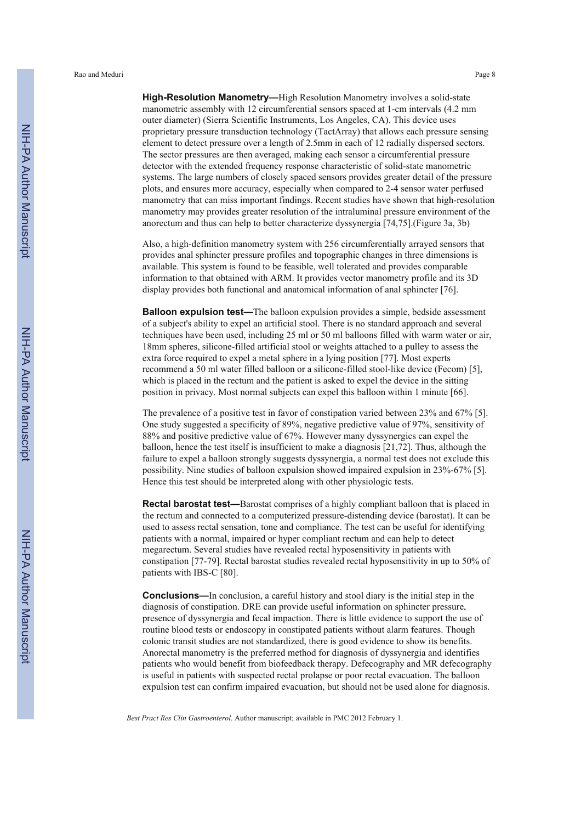Rao and Meduri Page 8

**High-Resolution Manometry—**High Resolution Manometry involves a solid-state manometric assembly with 12 circumferential sensors spaced at 1-cm intervals (4.2 mm outer diameter) (Sierra Scientific Instruments, Los Angeles, CA). This device uses proprietary pressure transduction technology (TactArray) that allows each pressure sensing element to detect pressure over a length of 2.5mm in each of 12 radially dispersed sectors. The sector pressures are then averaged, making each sensor a circumferential pressure detector with the extended frequency response characteristic of solid-state manometric systems. The large numbers of closely spaced sensors provides greater detail of the pressure plots, and ensures more accuracy, especially when compared to 2-4 sensor water perfused manometry that can miss important findings. Recent studies have shown that high-resolution manometry may provides greater resolution of the intraluminal pressure environment of the anorectum and thus can help to better characterize dyssynergia [74,75].(Figure 3a, 3b)

Also, a high-definition manometry system with 256 circumferentially arrayed sensors that provides anal sphincter pressure profiles and topographic changes in three dimensions is available. This system is found to be feasible, well tolerated and provides comparable information to that obtained with ARM. It provides vector manometry profile and its 3D display provides both functional and anatomical information of anal sphincter [76].

**Balloon expulsion test—**The balloon expulsion provides a simple, bedside assessment of a subject's ability to expel an artificial stool. There is no standard approach and several techniques have been used, including 25 ml or 50 ml balloons filled with warm water or air, 18mm spheres, silicone-filled artificial stool or weights attached to a pulley to assess the extra force required to expel a metal sphere in a lying position [77]. Most experts recommend a 50 ml water filled balloon or a silicone-filled stool-like device (Fecom) [5], which is placed in the rectum and the patient is asked to expel the device in the sitting position in privacy. Most normal subjects can expel this balloon within 1 minute [66].

The prevalence of a positive test in favor of constipation varied between 23% and 67% [5]. One study suggested a specificity of 89%, negative predictive value of 97%, sensitivity of 88% and positive predictive value of 67%. However many dyssynergics can expel the balloon, hence the test itself is insufficient to make a diagnosis [21,72]. Thus, although the failure to expel a balloon strongly suggests dyssynergia, a normal test does not exclude this possibility. Nine studies of balloon expulsion showed impaired expulsion in 23%-67% [5]. Hence this test should be interpreted along with other physiologic tests.

**Rectal barostat test—**Barostat comprises of a highly compliant balloon that is placed in the rectum and connected to a computerized pressure-distending device (barostat). It can be used to assess rectal sensation, tone and compliance. The test can be useful for identifying patients with a normal, impaired or hyper compliant rectum and can help to detect megarectum. Several studies have revealed rectal hyposensitivity in patients with constipation [77-79]. Rectal barostat studies revealed rectal hyposensitivity in up to 50% of patients with IBS-C [80].

**Conclusions—**In conclusion, a careful history and stool diary is the initial step in the diagnosis of constipation. DRE can provide useful information on sphincter pressure, presence of dyssynergia and fecal impaction. There is little evidence to support the use of routine blood tests or endoscopy in constipated patients without alarm features. Though colonic transit studies are not standardized, there is good evidence to show its benefits. Anorectal manometry is the preferred method for diagnosis of dyssynergia and identifies patients who would benefit from biofeedback therapy. Defecography and MR defecography is useful in patients with suspected rectal prolapse or poor rectal evacuation. The balloon expulsion test can confirm impaired evacuation, but should not be used alone for diagnosis.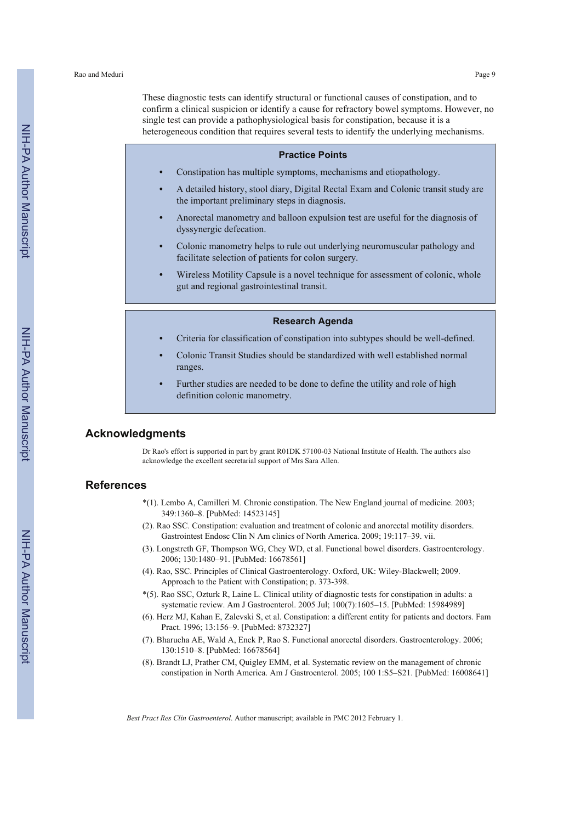These diagnostic tests can identify structural or functional causes of constipation, and to confirm a clinical suspicion or identify a cause for refractory bowel symptoms. However, no single test can provide a pathophysiological basis for constipation, because it is a heterogeneous condition that requires several tests to identify the underlying mechanisms.

# **Practice Points**

- **•** Constipation has multiple symptoms, mechanisms and etiopathology.
- **•** A detailed history, stool diary, Digital Rectal Exam and Colonic transit study are the important preliminary steps in diagnosis.
- **•** Anorectal manometry and balloon expulsion test are useful for the diagnosis of dyssynergic defecation.
- **•** Colonic manometry helps to rule out underlying neuromuscular pathology and facilitate selection of patients for colon surgery.
- **•** Wireless Motility Capsule is a novel technique for assessment of colonic, whole gut and regional gastrointestinal transit.

#### **Research Agenda**

- **•** Criteria for classification of constipation into subtypes should be well-defined.
- **•** Colonic Transit Studies should be standardized with well established normal ranges.
- **•** Further studies are needed to be done to define the utility and role of high definition colonic manometry.

# **Acknowledgments**

Dr Rao's effort is supported in part by grant R01DK 57100-03 National Institute of Health. The authors also acknowledge the excellent secretarial support of Mrs Sara Allen.

#### **References**

- \*(1). Lembo A, Camilleri M. Chronic constipation. The New England journal of medicine. 2003; 349:1360–8. [PubMed: 14523145]
- (2). Rao SSC. Constipation: evaluation and treatment of colonic and anorectal motility disorders. Gastrointest Endosc Clin N Am clinics of North America. 2009; 19:117–39. vii.
- (3). Longstreth GF, Thompson WG, Chey WD, et al. Functional bowel disorders. Gastroenterology. 2006; 130:1480–91. [PubMed: 16678561]
- (4). Rao, SSC. Principles of Clinical Gastroenterology. Oxford, UK: Wiley-Blackwell; 2009. Approach to the Patient with Constipation; p. 373-398.
- \*(5). Rao SSC, Ozturk R, Laine L. Clinical utility of diagnostic tests for constipation in adults: a systematic review. Am J Gastroenterol. 2005 Jul; 100(7):1605–15. [PubMed: 15984989]
- (6). Herz MJ, Kahan E, Zalevski S, et al. Constipation: a different entity for patients and doctors. Fam Pract. 1996; 13:156–9. [PubMed: 8732327]
- (7). Bharucha AE, Wald A, Enck P, Rao S. Functional anorectal disorders. Gastroenterology. 2006; 130:1510–8. [PubMed: 16678564]
- (8). Brandt LJ, Prather CM, Quigley EMM, et al. Systematic review on the management of chronic constipation in North America. Am J Gastroenterol. 2005; 100 1:S5–S21. [PubMed: 16008641]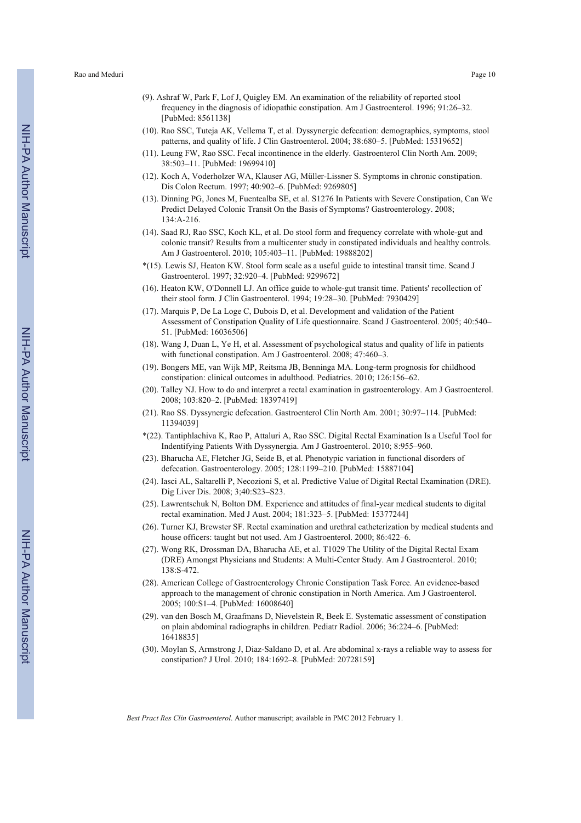- (9). Ashraf W, Park F, Lof J, Quigley EM. An examination of the reliability of reported stool frequency in the diagnosis of idiopathic constipation. Am J Gastroenterol. 1996; 91:26–32. [PubMed: 8561138]
- (10). Rao SSC, Tuteja AK, Vellema T, et al. Dyssynergic defecation: demographics, symptoms, stool patterns, and quality of life. J Clin Gastroenterol. 2004; 38:680–5. [PubMed: 15319652]
- (11). Leung FW, Rao SSC. Fecal incontinence in the elderly. Gastroenterol Clin North Am. 2009; 38:503–11. [PubMed: 19699410]
- (12). Koch A, Voderholzer WA, Klauser AG, Müller-Lissner S. Symptoms in chronic constipation. Dis Colon Rectum. 1997; 40:902–6. [PubMed: 9269805]
- (13). Dinning PG, Jones M, Fuentealba SE, et al. S1276 In Patients with Severe Constipation, Can We Predict Delayed Colonic Transit On the Basis of Symptoms? Gastroenterology. 2008; 134:A-216.
- (14). Saad RJ, Rao SSC, Koch KL, et al. Do stool form and frequency correlate with whole-gut and colonic transit? Results from a multicenter study in constipated individuals and healthy controls. Am J Gastroenterol. 2010; 105:403–11. [PubMed: 19888202]
- \*(15). Lewis SJ, Heaton KW. Stool form scale as a useful guide to intestinal transit time. Scand J Gastroenterol. 1997; 32:920–4. [PubMed: 9299672]
- (16). Heaton KW, O'Donnell LJ. An office guide to whole-gut transit time. Patients' recollection of their stool form. J Clin Gastroenterol. 1994; 19:28–30. [PubMed: 7930429]
- (17). Marquis P, De La Loge C, Dubois D, et al. Development and validation of the Patient Assessment of Constipation Quality of Life questionnaire. Scand J Gastroenterol. 2005; 40:540– 51. [PubMed: 16036506]
- (18). Wang J, Duan L, Ye H, et al. Assessment of psychological status and quality of life in patients with functional constipation. Am J Gastroenterol. 2008; 47:460–3.
- (19). Bongers ME, van Wijk MP, Reitsma JB, Benninga MA. Long-term prognosis for childhood constipation: clinical outcomes in adulthood. Pediatrics. 2010; 126:156–62.
- (20). Talley NJ. How to do and interpret a rectal examination in gastroenterology. Am J Gastroenterol. 2008; 103:820–2. [PubMed: 18397419]
- (21). Rao SS. Dyssynergic defecation. Gastroenterol Clin North Am. 2001; 30:97–114. [PubMed: 11394039]
- \*(22). Tantiphlachiva K, Rao P, Attaluri A, Rao SSC. Digital Rectal Examination Is a Useful Tool for Indentifying Patients With Dyssynergia. Am J Gastroenterol. 2010; 8:955–960.
- (23). Bharucha AE, Fletcher JG, Seide B, et al. Phenotypic variation in functional disorders of defecation. Gastroenterology. 2005; 128:1199–210. [PubMed: 15887104]
- (24). Iasci AL, Saltarelli P, Necozioni S, et al. Predictive Value of Digital Rectal Examination (DRE). Dig Liver Dis. 2008; 3;40:S23–S23.
- (25). Lawrentschuk N, Bolton DM. Experience and attitudes of final-year medical students to digital rectal examination. Med J Aust. 2004; 181:323–5. [PubMed: 15377244]
- (26). Turner KJ, Brewster SF. Rectal examination and urethral catheterization by medical students and house officers: taught but not used. Am J Gastroenterol. 2000; 86:422–6.
- (27). Wong RK, Drossman DA, Bharucha AE, et al. T1029 The Utility of the Digital Rectal Exam (DRE) Amongst Physicians and Students: A Multi-Center Study. Am J Gastroenterol. 2010; 138:S-472.
- (28). American College of Gastroenterology Chronic Constipation Task Force. An evidence-based approach to the management of chronic constipation in North America. Am J Gastroenterol. 2005; 100:S1–4. [PubMed: 16008640]
- (29). van den Bosch M, Graafmans D, Nievelstein R, Beek E. Systematic assessment of constipation on plain abdominal radiographs in children. Pediatr Radiol. 2006; 36:224–6. [PubMed: 16418835]
- (30). Moylan S, Armstrong J, Diaz-Saldano D, et al. Are abdominal x-rays a reliable way to assess for constipation? J Urol. 2010; 184:1692–8. [PubMed: 20728159]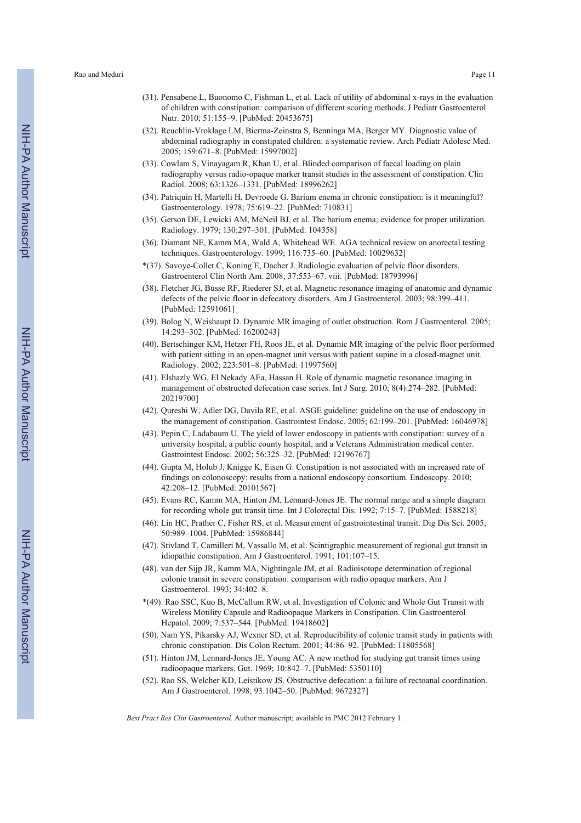- (31). Pensabene L, Buonomo C, Fishman L, et al. Lack of utility of abdominal x-rays in the evaluation of children with constipation: comparison of different scoring methods. J Pediatr Gastroenterol Nutr. 2010; 51:155–9. [PubMed: 20453675]
- (32). Reuchlin-Vroklage LM, Bierma-Zeinstra S, Benninga MA, Berger MY. Diagnostic value of abdominal radiography in constipated children: a systematic review. Arch Pediatr Adolesc Med. 2005; 159:671–8. [PubMed: 15997002]
- (33). Cowlam S, Vinayagam R, Khan U, et al. Blinded comparison of faecal loading on plain radiography versus radio-opaque marker transit studies in the assessment of constipation. Clin Radiol. 2008; 63:1326–1331. [PubMed: 18996262]
- (34). Patriquin H, Martelli H, Devroede G. Barium enema in chronic constipation: is it meaningful? Gastroenterology. 1978; 75:619–22. [PubMed: 710831]
- (35). Gerson DE, Lewicki AM, McNeil BJ, et al. The barium enema; evidence for proper utilization. Radiology. 1979; 130:297–301. [PubMed: 104358]
- (36). Diamant NE, Kamm MA, Wald A, Whitehead WE. AGA technical review on anorectal testing techniques. Gastroenterology. 1999; 116:735–60. [PubMed: 10029632]
- \*(37). Savoye-Collet C, Koning E, Dacher J. Radiologic evaluation of pelvic floor disorders. Gastroenterol Clin North Am. 2008; 37:553–67. viii. [PubMed: 18793996]
- (38). Fletcher JG, Busse RF, Riederer SJ, et al. Magnetic resonance imaging of anatomic and dynamic defects of the pelvic floor in defecatory disorders. Am J Gastroenterol. 2003; 98:399–411. [PubMed: 12591061]
- (39). Bolog N, Weishaupt D. Dynamic MR imaging of outlet obstruction. Rom J Gastroenterol. 2005; 14:293–302. [PubMed: 16200243]
- (40). Bertschinger KM, Hetzer FH, Roos JE, et al. Dynamic MR imaging of the pelvic floor performed with patient sitting in an open-magnet unit versus with patient supine in a closed-magnet unit. Radiology. 2002; 223:501–8. [PubMed: 11997560]
- (41). Elshazly WG, El Nekady AEa, Hassan H. Role of dynamic magnetic resonance imaging in management of obstructed defecation case series. Int J Surg. 2010; 8(4):274–282. [PubMed: 20219700]
- (42). Qureshi W, Adler DG, Davila RE, et al. ASGE guideline: guideline on the use of endoscopy in the management of constipation. Gastrointest Endosc. 2005; 62:199–201. [PubMed: 16046978]
- (43). Pepin C, Ladabaum U. The yield of lower endoscopy in patients with constipation: survey of a university hospital, a public county hospital, and a Veterans Administration medical center. Gastrointest Endosc. 2002; 56:325–32. [PubMed: 12196767]
- (44). Gupta M, Holub J, Knigge K, Eisen G. Constipation is not associated with an increased rate of findings on colonoscopy: results from a national endoscopy consortium. Endoscopy. 2010; 42:208–12. [PubMed: 20101567]
- (45). Evans RC, Kamm MA, Hinton JM, Lennard-Jones JE. The normal range and a simple diagram for recording whole gut transit time. Int J Colorectal Dis. 1992; 7:15–7. [PubMed: 1588218]
- (46). Lin HC, Prather C, Fisher RS, et al. Measurement of gastrointestinal transit. Dig Dis Sci. 2005; 50:989–1004. [PubMed: 15986844]
- (47). Stivland T, Camilleri M, Vassallo M, et al. Scintigraphic measurement of regional gut transit in idiopathic constipation. Am J Gastroenterol. 1991; 101:107–15.
- (48). van der Sijp JR, Kamm MA, Nightingale JM, et al. Radioisotope determination of regional colonic transit in severe constipation: comparison with radio opaque markers. Am J Gastroenterol. 1993; 34:402–8.
- \*(49). Rao SSC, Kuo B, McCallum RW, et al. Investigation of Colonic and Whole Gut Transit with Wireless Motility Capsule and Radioopaque Markers in Constipation. Clin Gastroenterol Hepatol. 2009; 7:537–544. [PubMed: 19418602]
- (50). Nam YS, Pikarsky AJ, Wexner SD, et al. Reproducibility of colonic transit study in patients with chronic constipation. Dis Colon Rectum. 2001; 44:86–92. [PubMed: 11805568]
- (51). Hinton JM, Lennard-Jones JE, Young AC. A new method for studying gut transit times using radioopaque markers. Gut. 1969; 10:842–7. [PubMed: 5350110]
- (52). Rao SS, Welcher KD, Leistikow JS. Obstructive defecation: a failure of rectoanal coordination. Am J Gastroenterol. 1998; 93:1042–50. [PubMed: 9672327]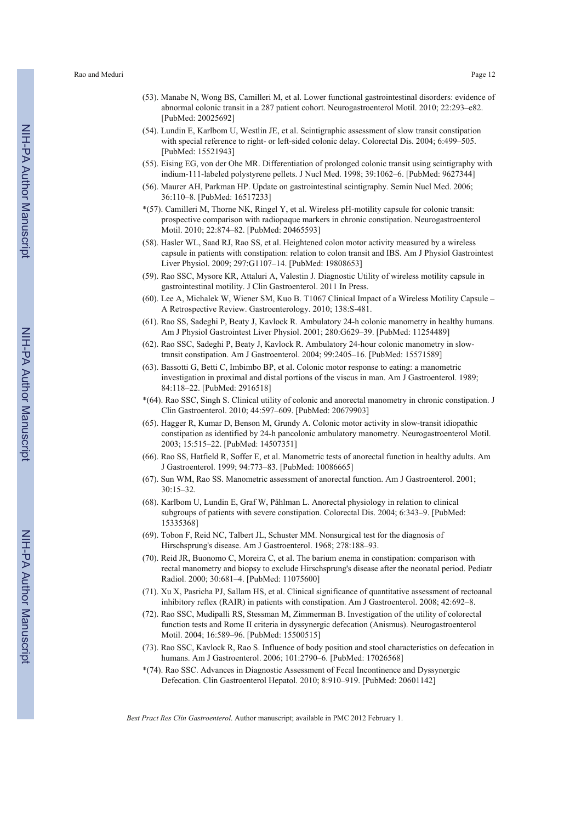- (53). Manabe N, Wong BS, Camilleri M, et al. Lower functional gastrointestinal disorders: evidence of abnormal colonic transit in a 287 patient cohort. Neurogastroenterol Motil. 2010; 22:293–e82. [PubMed: 20025692]
- (54). Lundin E, Karlbom U, Westlin JE, et al. Scintigraphic assessment of slow transit constipation with special reference to right- or left-sided colonic delay. Colorectal Dis. 2004; 6:499–505. [PubMed: 15521943]
- (55). Eising EG, von der Ohe MR. Differentiation of prolonged colonic transit using scintigraphy with indium-111-labeled polystyrene pellets. J Nucl Med. 1998; 39:1062–6. [PubMed: 9627344]
- (56). Maurer AH, Parkman HP. Update on gastrointestinal scintigraphy. Semin Nucl Med. 2006; 36:110–8. [PubMed: 16517233]
- \*(57). Camilleri M, Thorne NK, Ringel Y, et al. Wireless pH-motility capsule for colonic transit: prospective comparison with radiopaque markers in chronic constipation. Neurogastroenterol Motil. 2010; 22:874–82. [PubMed: 20465593]
- (58). Hasler WL, Saad RJ, Rao SS, et al. Heightened colon motor activity measured by a wireless capsule in patients with constipation: relation to colon transit and IBS. Am J Physiol Gastrointest Liver Physiol. 2009; 297:G1107–14. [PubMed: 19808653]
- (59). Rao SSC, Mysore KR, Attaluri A, Valestin J. Diagnostic Utility of wireless motility capsule in gastrointestinal motility. J Clin Gastroenterol. 2011 In Press.
- (60). Lee A, Michalek W, Wiener SM, Kuo B. T1067 Clinical Impact of a Wireless Motility Capsule A Retrospective Review. Gastroenterology. 2010; 138:S-481.
- (61). Rao SS, Sadeghi P, Beaty J, Kavlock R. Ambulatory 24-h colonic manometry in healthy humans. Am J Physiol Gastrointest Liver Physiol. 2001; 280:G629–39. [PubMed: 11254489]
- (62). Rao SSC, Sadeghi P, Beaty J, Kavlock R. Ambulatory 24-hour colonic manometry in slowtransit constipation. Am J Gastroenterol. 2004; 99:2405–16. [PubMed: 15571589]
- (63). Bassotti G, Betti C, Imbimbo BP, et al. Colonic motor response to eating: a manometric investigation in proximal and distal portions of the viscus in man. Am J Gastroenterol. 1989; 84:118–22. [PubMed: 2916518]
- \*(64). Rao SSC, Singh S. Clinical utility of colonic and anorectal manometry in chronic constipation. J Clin Gastroenterol. 2010; 44:597–609. [PubMed: 20679903]
- (65). Hagger R, Kumar D, Benson M, Grundy A. Colonic motor activity in slow-transit idiopathic constipation as identified by 24-h pancolonic ambulatory manometry. Neurogastroenterol Motil. 2003; 15:515–22. [PubMed: 14507351]
- (66). Rao SS, Hatfield R, Soffer E, et al. Manometric tests of anorectal function in healthy adults. Am J Gastroenterol. 1999; 94:773–83. [PubMed: 10086665]
- (67). Sun WM, Rao SS. Manometric assessment of anorectal function. Am J Gastroenterol. 2001; 30:15–32.
- (68). Karlbom U, Lundin E, Graf W, Påhlman L. Anorectal physiology in relation to clinical subgroups of patients with severe constipation. Colorectal Dis. 2004; 6:343–9. [PubMed: 15335368]
- (69). Tobon F, Reid NC, Talbert JL, Schuster MM. Nonsurgical test for the diagnosis of Hirschsprung's disease. Am J Gastroenterol. 1968; 278:188–93.
- (70). Reid JR, Buonomo C, Moreira C, et al. The barium enema in constipation: comparison with rectal manometry and biopsy to exclude Hirschsprung's disease after the neonatal period. Pediatr Radiol. 2000; 30:681–4. [PubMed: 11075600]
- (71). Xu X, Pasricha PJ, Sallam HS, et al. Clinical significance of quantitative assessment of rectoanal inhibitory reflex (RAIR) in patients with constipation. Am J Gastroenterol. 2008; 42:692–8.
- (72). Rao SSC, Mudipalli RS, Stessman M, Zimmerman B. Investigation of the utility of colorectal function tests and Rome II criteria in dyssynergic defecation (Anismus). Neurogastroenterol Motil. 2004; 16:589–96. [PubMed: 15500515]
- (73). Rao SSC, Kavlock R, Rao S. Influence of body position and stool characteristics on defecation in humans. Am J Gastroenterol. 2006; 101:2790–6. [PubMed: 17026568]
- \*(74). Rao SSC. Advances in Diagnostic Assessment of Fecal Incontinence and Dyssynergic Defecation. Clin Gastroenterol Hepatol. 2010; 8:910–919. [PubMed: 20601142]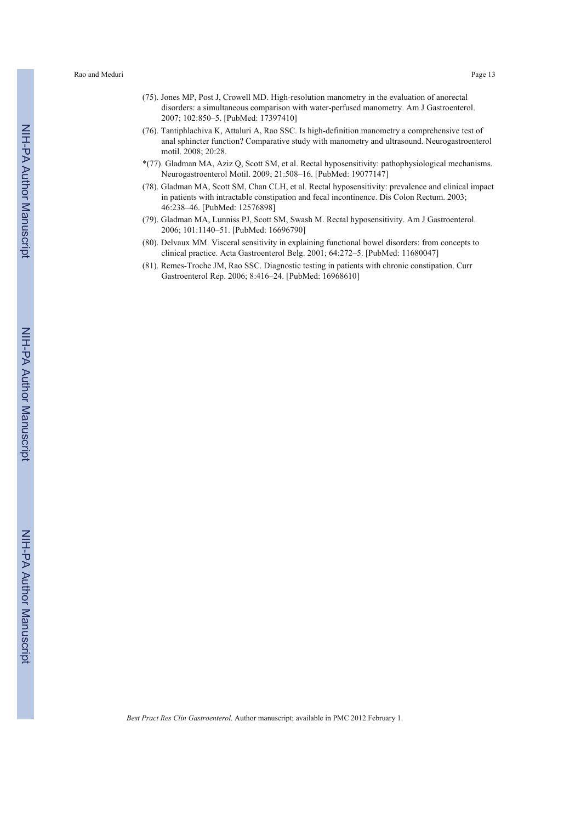- (75). Jones MP, Post J, Crowell MD. High-resolution manometry in the evaluation of anorectal disorders: a simultaneous comparison with water-perfused manometry. Am J Gastroenterol. 2007; 102:850–5. [PubMed: 17397410]
- (76). Tantiphlachiva K, Attaluri A, Rao SSC. Is high-definition manometry a comprehensive test of anal sphincter function? Comparative study with manometry and ultrasound. Neurogastroenterol motil. 2008; 20:28.
- \*(77). Gladman MA, Aziz Q, Scott SM, et al. Rectal hyposensitivity: pathophysiological mechanisms. Neurogastroenterol Motil. 2009; 21:508–16. [PubMed: 19077147]
- (78). Gladman MA, Scott SM, Chan CLH, et al. Rectal hyposensitivity: prevalence and clinical impact in patients with intractable constipation and fecal incontinence. Dis Colon Rectum. 2003; 46:238–46. [PubMed: 12576898]
- (79). Gladman MA, Lunniss PJ, Scott SM, Swash M. Rectal hyposensitivity. Am J Gastroenterol. 2006; 101:1140–51. [PubMed: 16696790]
- (80). Delvaux MM. Visceral sensitivity in explaining functional bowel disorders: from concepts to clinical practice. Acta Gastroenterol Belg. 2001; 64:272–5. [PubMed: 11680047]
- (81). Remes-Troche JM, Rao SSC. Diagnostic testing in patients with chronic constipation. Curr Gastroenterol Rep. 2006; 8:416–24. [PubMed: 16968610]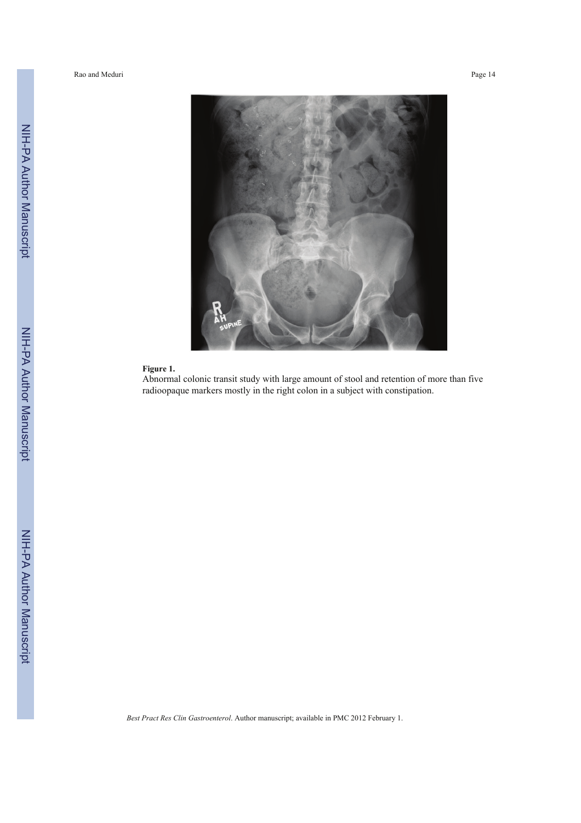Rao and Meduri Page 14



# **Figure 1.**

Abnormal colonic transit study with large amount of stool and retention of more than five radioopaque markers mostly in the right colon in a subject with constipation.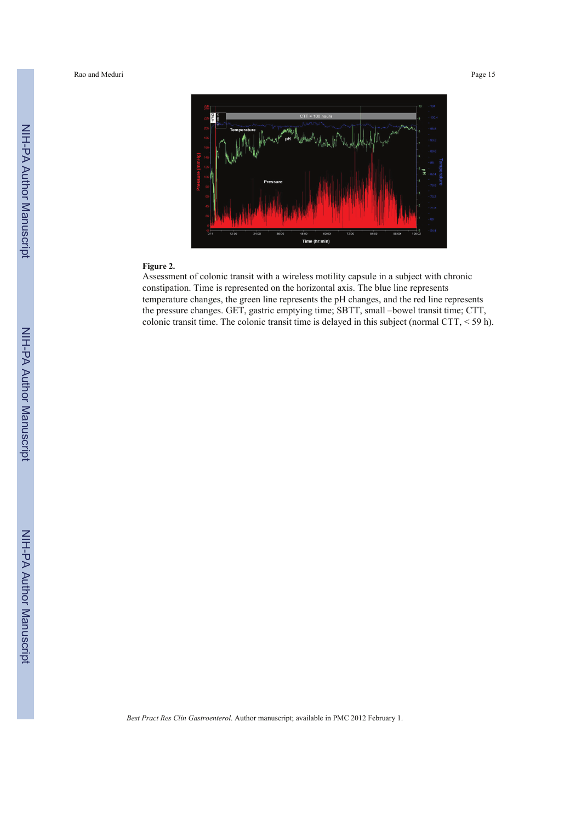Rao and Meduri Page 15



#### **Figure 2.**

Assessment of colonic transit with a wireless motility capsule in a subject with chronic constipation. Time is represented on the horizontal axis. The blue line represents temperature changes, the green line represents the pH changes, and the red line represents the pressure changes. GET, gastric emptying time; SBTT, small –bowel transit time; CTT, colonic transit time. The colonic transit time is delayed in this subject (normal CTT, < 59 h).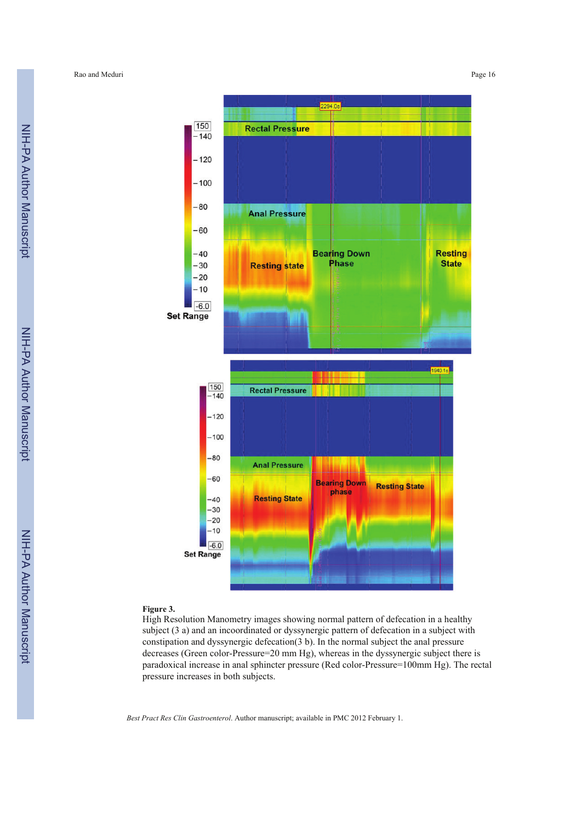

#### **Figure 3.**

High Resolution Manometry images showing normal pattern of defecation in a healthy subject (3 a) and an incoordinated or dyssynergic pattern of defecation in a subject with constipation and dyssynergic defecation(3 b). In the normal subject the anal pressure decreases (Green color-Pressure=20 mm Hg), whereas in the dyssynergic subject there is paradoxical increase in anal sphincter pressure (Red color-Pressure=100mm Hg). The rectal pressure increases in both subjects.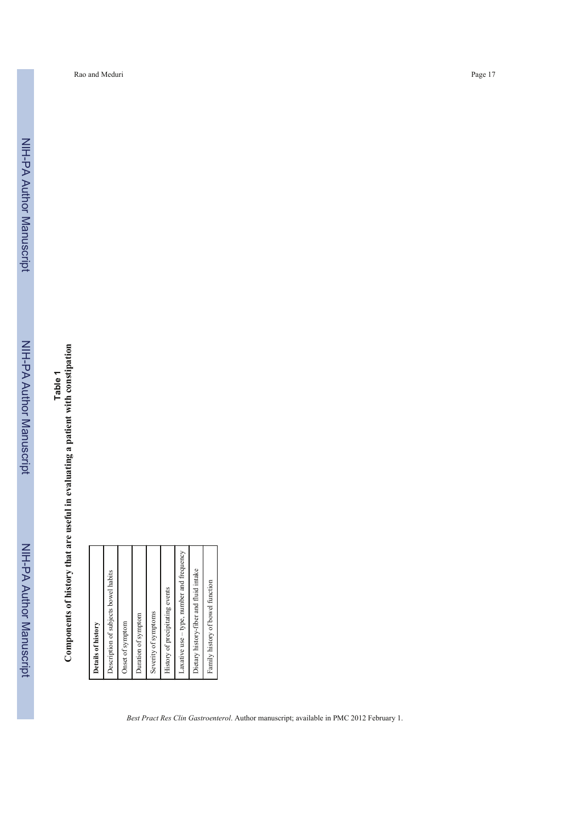NIH-PA Author Manuscript NIH-PA Author Manuscript **Components of history that are useful in evaluating a patient with constipation Components of history that are useful in evaluating a patient with constipation**

| Laxative use - type, number and frequency<br>Dietary history-fiber and fluid intake<br>Description of subjects bowel habits<br>Family history of bowel function<br>History of precipitating events<br>Severity of symptoms<br>Duration of symptom<br>Onset of symptom<br>Details of history |
|---------------------------------------------------------------------------------------------------------------------------------------------------------------------------------------------------------------------------------------------------------------------------------------------|
|---------------------------------------------------------------------------------------------------------------------------------------------------------------------------------------------------------------------------------------------------------------------------------------------|

Rao and Meduri Page 17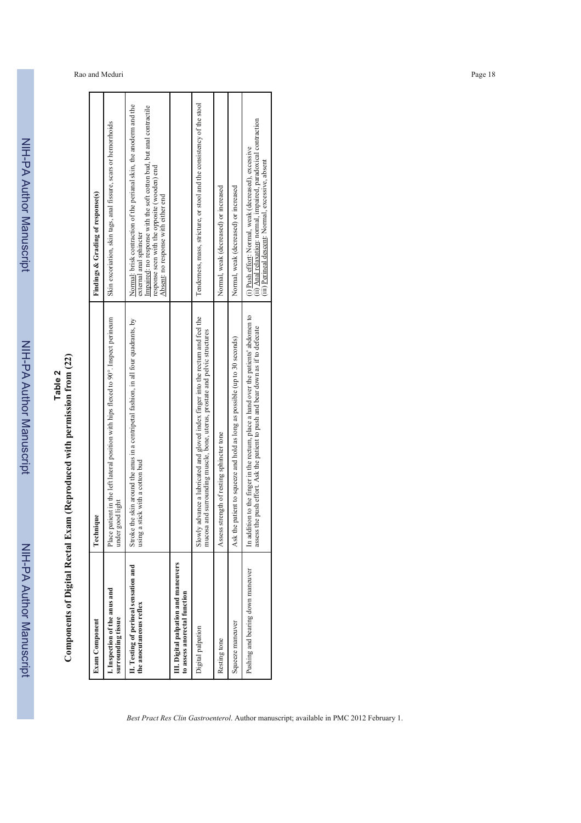NIH-PA Author ManuscriptNIH-PA Author Manuscript

NIH-PA Author Manuscript

NIH-PA Author Manuscript

# **Table 2**

| ֖֖֪ׅ֪ׅ֚֚֚֚֚֚֚֚֚֚֚֚֚֚֬֝֝֝֝֝֝֬֝֬֝֬֝֬֝֬֝֬֝֬֝֬֝֬֝֓֬ |
|-------------------------------------------------|
| ;<br>;                                          |
| $\overline{\phantom{a}}$<br>í                   |
|                                                 |
| i<br>l<br>í<br>ı<br>ŀ<br>I                      |
| ļ                                               |
|                                                 |
| D                                               |
| l                                               |

| <b>Exam Component</b>                                                | nique<br>${\rm \Gamma}$ echı                                                                                                                                           | Findings & Grading of response(s)                                                                                                                                                                                                                             |
|----------------------------------------------------------------------|------------------------------------------------------------------------------------------------------------------------------------------------------------------------|---------------------------------------------------------------------------------------------------------------------------------------------------------------------------------------------------------------------------------------------------------------|
| I. Inspection of the anus and<br>surrounding tissue                  | patient in the left lateral position with hips flexed to 90°. Inspect perineum<br>good light<br>Place <sub>1</sub><br>under                                            | Skin excoriation, skin tags, anal fissure, scars or hemorrhoids                                                                                                                                                                                               |
| II. Testing of perineal sensation and<br>the anocutaneous reflex     | e the skin around the anus in a centripetal fashion, in all four quadrants, by<br>a stick with a cotton bud<br>Stroke<br>using                                         | Normal: brisk contraction of the perianal skin, the anoderm and the<br>Impaired: no response with the soft cotton bud, but anal contractile<br>response seen with the opposite (wooden) end<br>Absent: no response with either end<br>external anal sphincter |
| III. Digital palpation and maneuvers<br>to assess anorectal function |                                                                                                                                                                        |                                                                                                                                                                                                                                                               |
| Digital palpation                                                    | Slowly advance a lubricated and gloved index finger into the rectum and feel the<br>mucosa and surrounding muscle, bone, uterus, prostate and pelvic structures        | Tenderness, mass, stricture, or stool and the consistency of the stool                                                                                                                                                                                        |
| Resting tone                                                         | Assess strength of resting sphincter tone                                                                                                                              | Normal, weak (decreased) or increased                                                                                                                                                                                                                         |
| Squeeze maneuver                                                     | he patient to squeeze and hold as long as possible (up to 30 seconds)<br>Ask tt                                                                                        | Normal, weak (decreased) or increased                                                                                                                                                                                                                         |
| Pushing and bearing down maneuver                                    | In addition to the finger in the rectum, place a hand over the patients' abdomen to<br>assess the push effort. Ask the patient to push and bear down as if to defecate | (ii) Anal relaxation: normal, impaired, paradoxical contraction<br>(i) Push effort: Normal, weak (decreased), excessive<br>(iii) Perineal descent: Normal, excessive, absent                                                                                  |
|                                                                      |                                                                                                                                                                        |                                                                                                                                                                                                                                                               |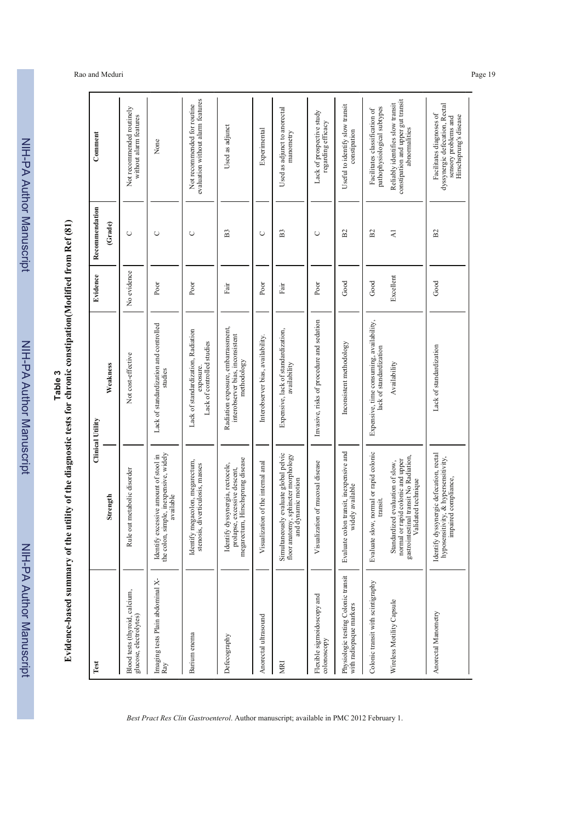| ?<br>≀ייי                           |
|-------------------------------------|
|                                     |
|                                     |
|                                     |
|                                     |
|                                     |
|                                     |
|                                     |
|                                     |
| ֚֚֚֚֚֚֚֚֚֚֚֚֚֚֚֚֚֚֬֡֡֡֡֡֡֬֓֡֡֡֬֓֡֡֬ |
|                                     |
|                                     |
|                                     |
| ٦                                   |
|                                     |
|                                     |
|                                     |

**Table 3 Table 3 Table 3 Construmental Construmental Propertion** (Modified from Ref (81) **Evidence-based summary of the utility of the diagnostic tests for chronic constipation(Modified from Ref (81)**

# Rao and Meduri Page 19

| Test                                                           |                                                                                                                                        | <b>Clinical Utility</b>                                                               | Evidence    | Recommendation | Comment                                                                                                      |
|----------------------------------------------------------------|----------------------------------------------------------------------------------------------------------------------------------------|---------------------------------------------------------------------------------------|-------------|----------------|--------------------------------------------------------------------------------------------------------------|
|                                                                | Strength                                                                                                                               | Weakness                                                                              |             | (Grade)        |                                                                                                              |
| Blood tests (thyroid, calcium,<br>glucose, electrolytes)       | out metabolic disorder<br>Rule                                                                                                         | Not cost-effective                                                                    | No evidence | $\cup$         | Not recommended routinely<br>without alarm features                                                          |
| Imaging tests Plain abdominal X-<br>Ray                        | simple, inexpensive, widely<br>Identify excessive amount of stool in<br>available<br>the colon,                                        | Lack of standardization and controlled<br>studies                                     | Poor        | $\cup$         | None                                                                                                         |
| Barium enema                                                   | Identify megacolon, megarectum,<br>stenosis, diverticulosis, masses                                                                    | Lack of standardization, Radiation<br>Lack of controlled studies<br>exposure.         | Poor        | O              | evaluation without alarm features<br>Not recommended for routine                                             |
| Defecography                                                   | megarectum, Hirschsprung disease<br>Identify dyssynergia, rectocele,<br>prolapse, excessive descent,                                   | Radiation exposure, embarrassment,<br>interobserver bias, inconsistent<br>methodology | Fair        | B3             | Used as adjunct                                                                                              |
| Anorectal ultrasound                                           | Visualization of the internal anal                                                                                                     | Interobserver bias, availability.                                                     | Poor        | $\cup$         | Experimental                                                                                                 |
| NEN                                                            | Simultaneously evaluate global pelvic<br>floor anatomy, sphincter morphology<br>and dynamic motion                                     | Expensive, lack of standardization,<br>availability                                   | Fair        | B <sub>3</sub> | Used as adjunct to anorectal<br>manometry                                                                    |
| Flexible sigmoidoscopy and<br>colonoscopy                      | Visualization of mucosal disease                                                                                                       | Invasive, risks of procedure and sedation                                             | Poor        | O              | Lack of prospective study<br>regarding efficacy                                                              |
| Physiologic testing Colonic transit<br>with radiopaque markers | Evaluate colon transit, inexpensive and<br>widely available                                                                            | Inconsistent methodology                                                              | Good        | B <sub>2</sub> | Useful to identify slow transit<br>constipation                                                              |
| Colonic transit with scintigraphy                              | Evaluate slow, normal or rapid colonic<br>$transit.$                                                                                   | Expensive, time consuming, availability,<br>lack of standardization                   | Good        | $_{\rm B2}$    | pathophysiological subtypes<br>Facilitates classification of                                                 |
| Wireless Motility Capsule                                      | gastrointestinal transit No Radiation,<br>normal or rapid colonic and upper<br>Standardized evaluation of slow,<br>Validated technique | Availability                                                                          | Excellent   | $\overline{z}$ | constipation and upper gut transit<br>Reliably identifies slow transit<br>abnormalities                      |
| Anorectal Manometry                                            | Identify dyssynergic defecation, rectal<br>hyposensitivity, & hypersensitivity,<br>impaired compliance,                                | Lack of standardization                                                               | Good        | B <sub>2</sub> | dyssynergic defecation, Rectal<br>Facilitates diagnoses of<br>Hirschsprung's disease<br>sensory problems and |